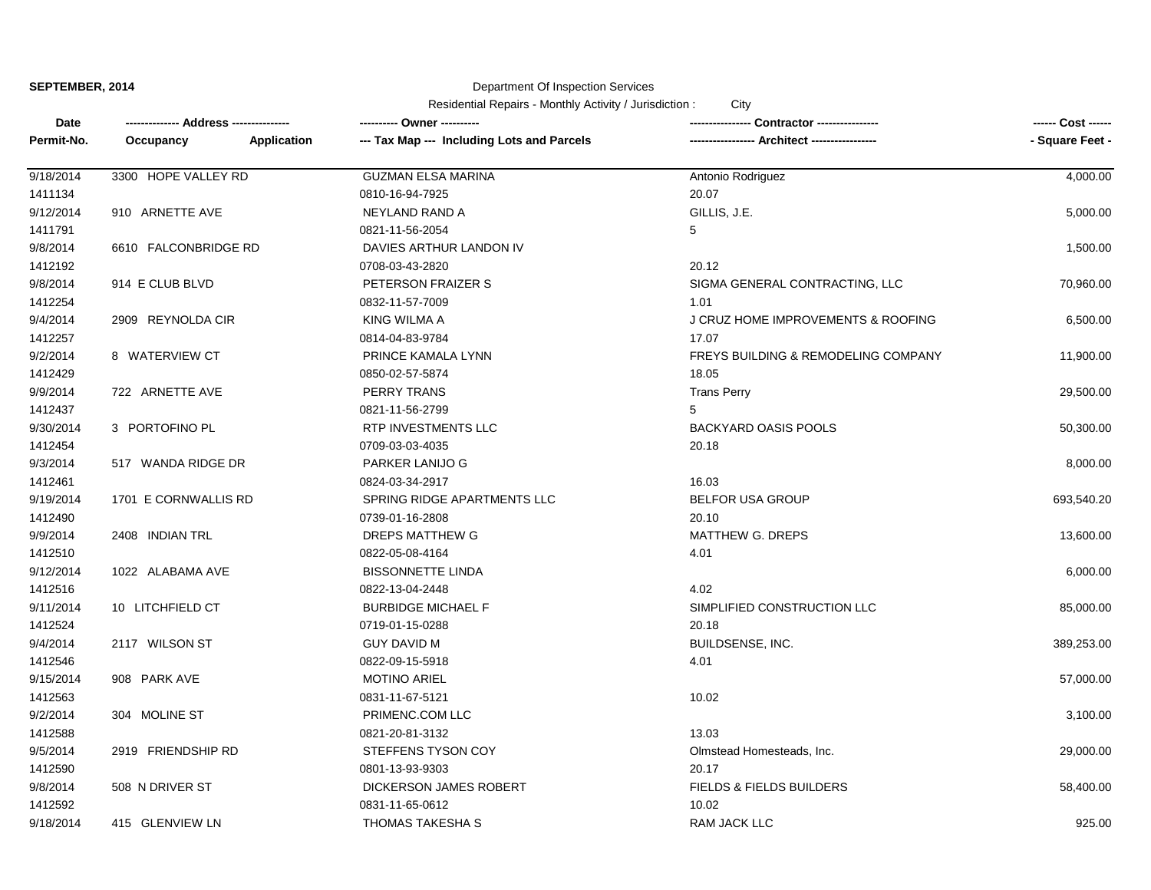Department Of Inspection Services

| Date       | ------------- Address --------------- |                    | ---------- Owner ----------                | Contractor ---------------                     | ------ Cost ------ |
|------------|---------------------------------------|--------------------|--------------------------------------------|------------------------------------------------|--------------------|
| Permit-No. | Occupancy                             | <b>Application</b> | --- Tax Map --- Including Lots and Parcels |                                                | - Square Feet -    |
| 9/18/2014  | 3300 HOPE VALLEY RD                   |                    | <b>GUZMAN ELSA MARINA</b>                  | Antonio Rodriguez                              | 4,000.00           |
| 1411134    |                                       |                    | 0810-16-94-7925                            | 20.07                                          |                    |
| 9/12/2014  | 910 ARNETTE AVE                       |                    | NEYLAND RAND A                             | GILLIS, J.E.                                   | 5,000.00           |
| 1411791    |                                       |                    | 0821-11-56-2054                            | 5                                              |                    |
| 9/8/2014   | 6610 FALCONBRIDGE RD                  |                    | DAVIES ARTHUR LANDON IV                    |                                                | 1,500.00           |
| 1412192    |                                       |                    | 0708-03-43-2820                            | 20.12                                          |                    |
| 9/8/2014   | 914 E CLUB BLVD                       |                    | PETERSON FRAIZER S                         | SIGMA GENERAL CONTRACTING, LLC                 | 70,960.00          |
| 1412254    |                                       |                    | 0832-11-57-7009                            | 1.01                                           |                    |
| 9/4/2014   | 2909 REYNOLDA CIR                     |                    | KING WILMA A                               | J CRUZ HOME IMPROVEMENTS & ROOFING             | 6,500.00           |
| 1412257    |                                       |                    | 0814-04-83-9784                            | 17.07                                          |                    |
| 9/2/2014   | 8 WATERVIEW CT                        |                    | PRINCE KAMALA LYNN                         | <b>FREYS BUILDING &amp; REMODELING COMPANY</b> | 11,900.00          |
| 1412429    |                                       |                    | 0850-02-57-5874                            | 18.05                                          |                    |
| 9/9/2014   | 722 ARNETTE AVE                       |                    | PERRY TRANS                                | <b>Trans Perry</b>                             | 29,500.00          |
| 1412437    |                                       |                    | 0821-11-56-2799                            | 5                                              |                    |
| 9/30/2014  | 3 PORTOFINO PL                        |                    | RTP INVESTMENTS LLC                        | <b>BACKYARD OASIS POOLS</b>                    | 50,300.00          |
| 1412454    |                                       |                    | 0709-03-03-4035                            | 20.18                                          |                    |
| 9/3/2014   | 517 WANDA RIDGE DR                    |                    | PARKER LANIJO G                            |                                                | 8,000.00           |
| 1412461    |                                       |                    | 0824-03-34-2917                            | 16.03                                          |                    |
| 9/19/2014  | 1701 E CORNWALLIS RD                  |                    | SPRING RIDGE APARTMENTS LLC                | <b>BELFOR USA GROUP</b>                        | 693,540.20         |
| 1412490    |                                       |                    | 0739-01-16-2808                            | 20.10                                          |                    |
| 9/9/2014   | 2408 INDIAN TRL                       |                    | DREPS MATTHEW G                            | MATTHEW G. DREPS                               | 13,600.00          |
| 1412510    |                                       |                    | 0822-05-08-4164                            | 4.01                                           |                    |
| 9/12/2014  | 1022 ALABAMA AVE                      |                    | <b>BISSONNETTE LINDA</b>                   |                                                | 6,000.00           |
| 1412516    |                                       |                    | 0822-13-04-2448                            | 4.02                                           |                    |
| 9/11/2014  | 10 LITCHFIELD CT                      |                    | <b>BURBIDGE MICHAEL F</b>                  | SIMPLIFIED CONSTRUCTION LLC                    | 85,000.00          |
| 1412524    |                                       |                    | 0719-01-15-0288                            | 20.18                                          |                    |
| 9/4/2014   | 2117 WILSON ST                        |                    | <b>GUY DAVID M</b>                         | BUILDSENSE, INC.                               | 389,253.00         |
| 1412546    |                                       |                    | 0822-09-15-5918                            | 4.01                                           |                    |
| 9/15/2014  | 908 PARK AVE                          |                    | <b>MOTINO ARIEL</b>                        |                                                | 57,000.00          |
| 1412563    |                                       |                    | 0831-11-67-5121                            | 10.02                                          |                    |
| 9/2/2014   | 304 MOLINE ST                         |                    | PRIMENC.COM LLC                            |                                                | 3,100.00           |
| 1412588    |                                       |                    | 0821-20-81-3132                            | 13.03                                          |                    |
| 9/5/2014   | 2919 FRIENDSHIP RD                    |                    | STEFFENS TYSON COY                         | Olmstead Homesteads, Inc.                      | 29,000.00          |
| 1412590    |                                       |                    | 0801-13-93-9303                            | 20.17                                          |                    |
| 9/8/2014   | 508 N DRIVER ST                       |                    | DICKERSON JAMES ROBERT                     | <b>FIELDS &amp; FIELDS BUILDERS</b>            | 58,400.00          |
| 1412592    |                                       |                    | 0831-11-65-0612                            | 10.02                                          |                    |
| 9/18/2014  | 415 GLENVIEW LN                       |                    | THOMAS TAKESHA S                           | <b>RAM JACK LLC</b>                            | 925.00             |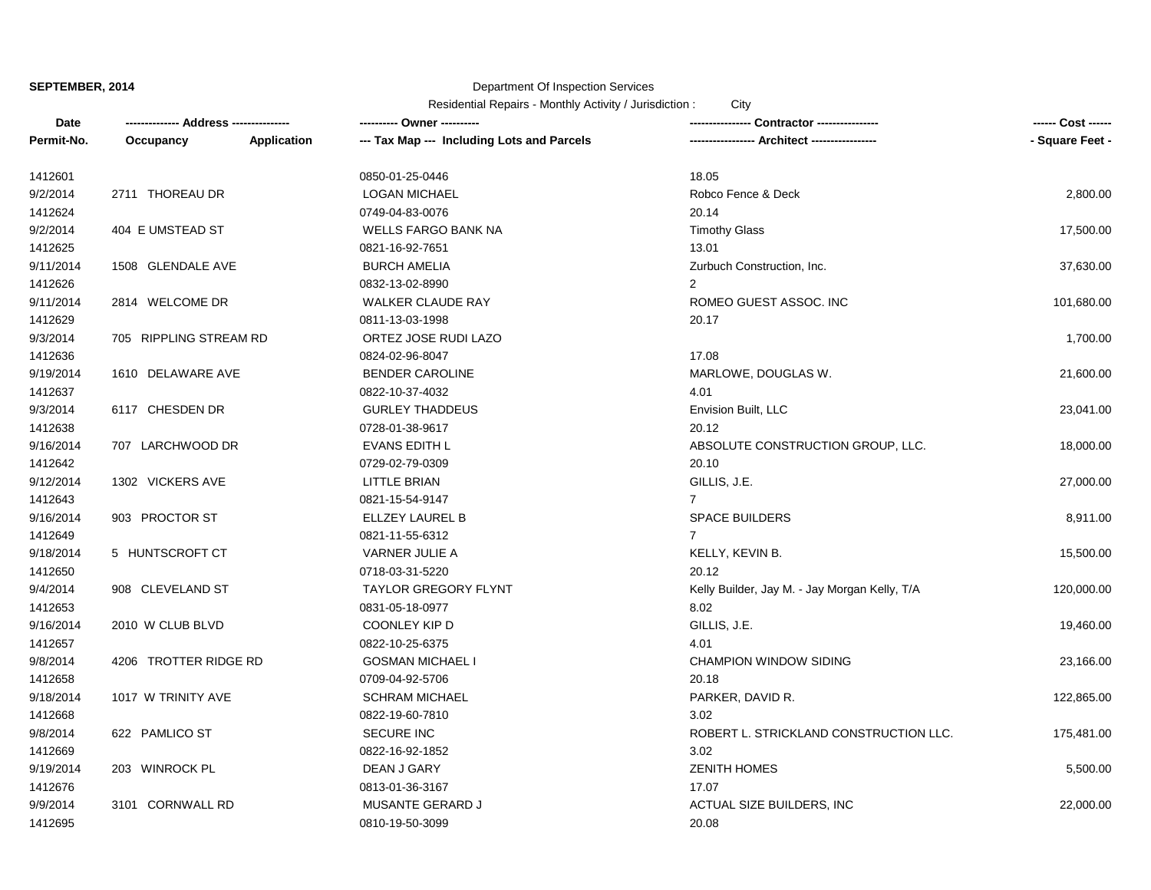# Department Of Inspection Services

| Date       |                        |             | --------- Owner ----------                 |                                               |                 |
|------------|------------------------|-------------|--------------------------------------------|-----------------------------------------------|-----------------|
| Permit-No. | Occupancy              | Application | --- Tax Map --- Including Lots and Parcels | -- Architect -----------------                | - Square Feet - |
| 1412601    |                        |             | 0850-01-25-0446                            | 18.05                                         |                 |
| 9/2/2014   | 2711 THOREAU DR        |             | <b>LOGAN MICHAEL</b>                       | Robco Fence & Deck                            | 2,800.00        |
| 1412624    |                        |             | 0749-04-83-0076                            | 20.14                                         |                 |
| 9/2/2014   | 404 E UMSTEAD ST       |             | <b>WELLS FARGO BANK NA</b>                 | <b>Timothy Glass</b>                          | 17,500.00       |
| 1412625    |                        |             | 0821-16-92-7651                            | 13.01                                         |                 |
| 9/11/2014  | 1508 GLENDALE AVE      |             | <b>BURCH AMELIA</b>                        | Zurbuch Construction, Inc.                    | 37,630.00       |
| 1412626    |                        |             | 0832-13-02-8990                            | 2                                             |                 |
| 9/11/2014  | 2814 WELCOME DR        |             | <b>WALKER CLAUDE RAY</b>                   | ROMEO GUEST ASSOC. INC                        | 101,680.00      |
| 1412629    |                        |             | 0811-13-03-1998                            | 20.17                                         |                 |
| 9/3/2014   | 705 RIPPLING STREAM RD |             | ORTEZ JOSE RUDI LAZO                       |                                               | 1,700.00        |
| 1412636    |                        |             | 0824-02-96-8047                            | 17.08                                         |                 |
| 9/19/2014  | 1610 DELAWARE AVE      |             | <b>BENDER CAROLINE</b>                     | MARLOWE, DOUGLAS W.                           | 21,600.00       |
| 1412637    |                        |             | 0822-10-37-4032                            | 4.01                                          |                 |
| 9/3/2014   | 6117 CHESDEN DR        |             | <b>GURLEY THADDEUS</b>                     | Envision Built, LLC                           | 23,041.00       |
| 1412638    |                        |             | 0728-01-38-9617                            | 20.12                                         |                 |
| 9/16/2014  | 707 LARCHWOOD DR       |             | <b>EVANS EDITH L</b>                       | ABSOLUTE CONSTRUCTION GROUP, LLC.             | 18,000.00       |
| 1412642    |                        |             | 0729-02-79-0309                            | 20.10                                         |                 |
| 9/12/2014  | 1302 VICKERS AVE       |             | LITTLE BRIAN                               | GILLIS, J.E.                                  | 27,000.00       |
| 1412643    |                        |             | 0821-15-54-9147                            | $\overline{7}$                                |                 |
| 9/16/2014  | 903 PROCTOR ST         |             | ELLZEY LAUREL B                            | <b>SPACE BUILDERS</b>                         | 8,911.00        |
| 1412649    |                        |             | 0821-11-55-6312                            | $7^{\circ}$                                   |                 |
| 9/18/2014  | 5 HUNTSCROFT CT        |             | VARNER JULIE A                             | KELLY, KEVIN B.                               | 15,500.00       |
| 1412650    |                        |             | 0718-03-31-5220                            | 20.12                                         |                 |
| 9/4/2014   | 908 CLEVELAND ST       |             | <b>TAYLOR GREGORY FLYNT</b>                | Kelly Builder, Jay M. - Jay Morgan Kelly, T/A | 120,000.00      |
| 1412653    |                        |             | 0831-05-18-0977                            | 8.02                                          |                 |
| 9/16/2014  | 2010 W CLUB BLVD       |             | COONLEY KIP D                              | GILLIS, J.E.                                  | 19,460.00       |
| 1412657    |                        |             | 0822-10-25-6375                            | 4.01                                          |                 |
| 9/8/2014   | 4206 TROTTER RIDGE RD  |             | <b>GOSMAN MICHAEL I</b>                    | <b>CHAMPION WINDOW SIDING</b>                 | 23,166.00       |
| 1412658    |                        |             | 0709-04-92-5706                            | 20.18                                         |                 |
| 9/18/2014  | 1017 W TRINITY AVE     |             | <b>SCHRAM MICHAEL</b>                      | PARKER, DAVID R.                              | 122,865.00      |
| 1412668    |                        |             | 0822-19-60-7810                            | 3.02                                          |                 |
| 9/8/2014   | 622 PAMLICO ST         |             | <b>SECURE INC</b>                          | ROBERT L. STRICKLAND CONSTRUCTION LLC.        | 175,481.00      |
| 1412669    |                        |             | 0822-16-92-1852                            | 3.02                                          |                 |
| 9/19/2014  | 203 WINROCK PL         |             | DEAN J GARY                                | <b>ZENITH HOMES</b>                           | 5,500.00        |
| 1412676    |                        |             | 0813-01-36-3167                            | 17.07                                         |                 |
| 9/9/2014   | 3101 CORNWALL RD       |             | <b>MUSANTE GERARD J</b>                    | ACTUAL SIZE BUILDERS, INC                     | 22,000.00       |
| 1412695    |                        |             | 0810-19-50-3099                            | 20.08                                         |                 |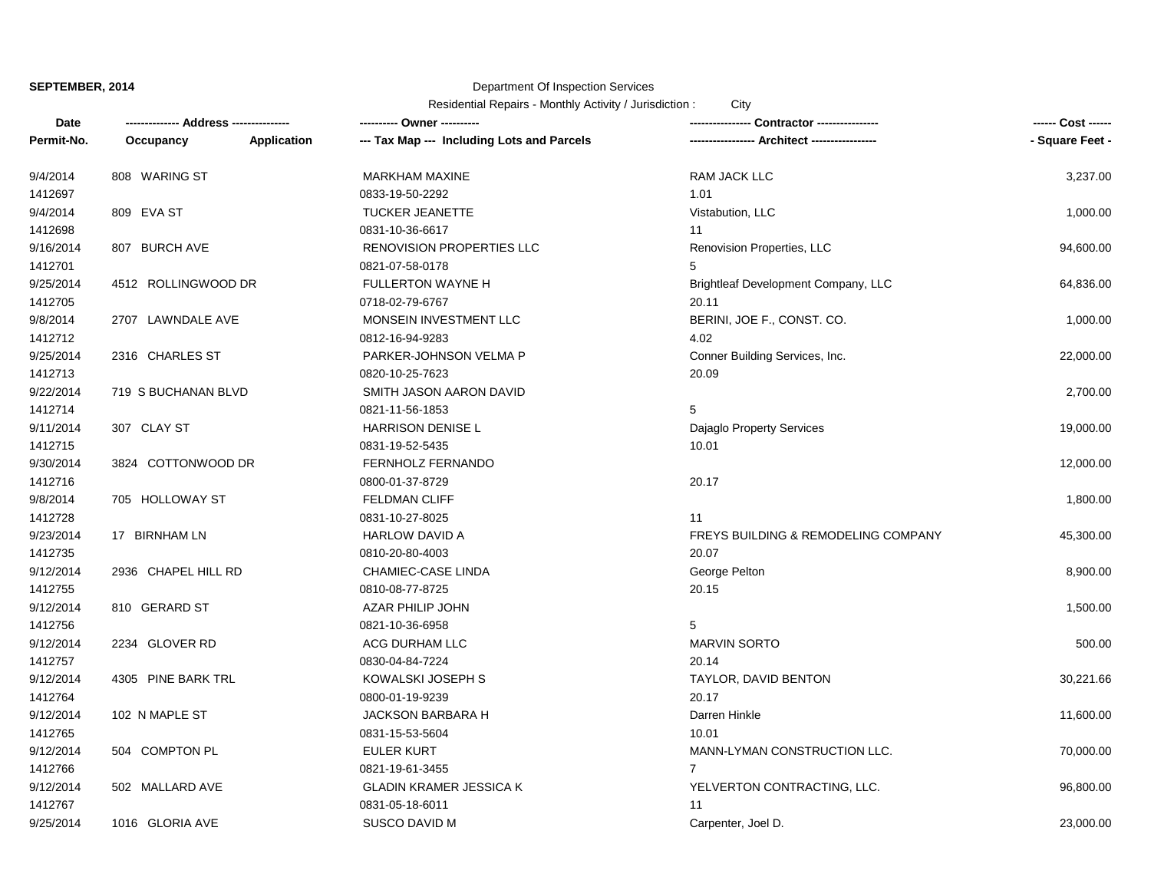# Department Of Inspection Services

| Date       | ------------- Address -------------- |             | ---------- Owner ----------                |                                     | ------ Cost ------ |
|------------|--------------------------------------|-------------|--------------------------------------------|-------------------------------------|--------------------|
| Permit-No. | Occupancy                            | Application | --- Tax Map --- Including Lots and Parcels |                                     | - Square Feet -    |
| 9/4/2014   | 808 WARING ST                        |             | <b>MARKHAM MAXINE</b>                      | <b>RAM JACK LLC</b>                 | 3,237.00           |
| 1412697    |                                      |             | 0833-19-50-2292                            | 1.01                                |                    |
| 9/4/2014   | 809 EVA ST                           |             | <b>TUCKER JEANETTE</b>                     | Vistabution, LLC                    | 1,000.00           |
| 1412698    |                                      |             | 0831-10-36-6617                            | 11                                  |                    |
| 9/16/2014  | 807 BURCH AVE                        |             | <b>RENOVISION PROPERTIES LLC</b>           | Renovision Properties, LLC          | 94,600.00          |
| 1412701    |                                      |             | 0821-07-58-0178                            | 5                                   |                    |
| 9/25/2014  | 4512 ROLLINGWOOD DR                  |             | <b>FULLERTON WAYNE H</b>                   | Brightleaf Development Company, LLC | 64,836.00          |
| 1412705    |                                      |             | 0718-02-79-6767                            | 20.11                               |                    |
| 9/8/2014   | 2707 LAWNDALE AVE                    |             | MONSEIN INVESTMENT LLC                     | BERINI, JOE F., CONST. CO.          | 1,000.00           |
| 1412712    |                                      |             | 0812-16-94-9283                            | 4.02                                |                    |
| 9/25/2014  | 2316 CHARLES ST                      |             | PARKER-JOHNSON VELMA P                     | Conner Building Services, Inc.      | 22,000.00          |
| 1412713    |                                      |             | 0820-10-25-7623                            | 20.09                               |                    |
| 9/22/2014  | 719 S BUCHANAN BLVD                  |             | SMITH JASON AARON DAVID                    |                                     | 2,700.00           |
| 1412714    |                                      |             | 0821-11-56-1853                            | 5                                   |                    |
| 9/11/2014  | 307 CLAY ST                          |             | HARRISON DENISE L                          | Dajaglo Property Services           | 19,000.00          |
| 1412715    |                                      |             | 0831-19-52-5435                            | 10.01                               |                    |
| 9/30/2014  | 3824 COTTONWOOD DR                   |             | FERNHOLZ FERNANDO                          |                                     | 12,000.00          |
| 1412716    |                                      |             | 0800-01-37-8729                            | 20.17                               |                    |
| 9/8/2014   | 705 HOLLOWAY ST                      |             | <b>FELDMAN CLIFF</b>                       |                                     | 1,800.00           |
| 1412728    |                                      |             | 0831-10-27-8025                            | 11                                  |                    |
| 9/23/2014  | 17 BIRNHAM LN                        |             | <b>HARLOW DAVID A</b>                      | FREYS BUILDING & REMODELING COMPANY | 45,300.00          |
| 1412735    |                                      |             | 0810-20-80-4003                            | 20.07                               |                    |
| 9/12/2014  | 2936 CHAPEL HILL RD                  |             | <b>CHAMIEC-CASE LINDA</b>                  | George Pelton                       | 8,900.00           |
| 1412755    |                                      |             | 0810-08-77-8725                            | 20.15                               |                    |
| 9/12/2014  | 810 GERARD ST                        |             | AZAR PHILIP JOHN                           |                                     | 1,500.00           |
| 1412756    |                                      |             | 0821-10-36-6958                            | 5                                   |                    |
| 9/12/2014  | 2234 GLOVER RD                       |             | ACG DURHAM LLC                             | <b>MARVIN SORTO</b>                 | 500.00             |
| 1412757    |                                      |             | 0830-04-84-7224                            | 20.14                               |                    |
| 9/12/2014  | 4305 PINE BARK TRL                   |             | KOWALSKI JOSEPH S                          | TAYLOR, DAVID BENTON                | 30,221.66          |
| 1412764    |                                      |             | 0800-01-19-9239                            | 20.17                               |                    |
| 9/12/2014  | 102 N MAPLE ST                       |             | <b>JACKSON BARBARA H</b>                   | Darren Hinkle                       | 11,600.00          |
| 1412765    |                                      |             | 0831-15-53-5604                            | 10.01                               |                    |
| 9/12/2014  | 504 COMPTON PL                       |             | <b>EULER KURT</b>                          | MANN-LYMAN CONSTRUCTION LLC.        | 70,000.00          |
| 1412766    |                                      |             | 0821-19-61-3455                            | $\overline{7}$                      |                    |
| 9/12/2014  | 502 MALLARD AVE                      |             | <b>GLADIN KRAMER JESSICA K</b>             | YELVERTON CONTRACTING, LLC.         | 96,800.00          |
| 1412767    |                                      |             | 0831-05-18-6011                            | 11                                  |                    |
| 9/25/2014  | 1016 GLORIA AVE                      |             | <b>SUSCO DAVID M</b>                       | Carpenter, Joel D.                  | 23,000.00          |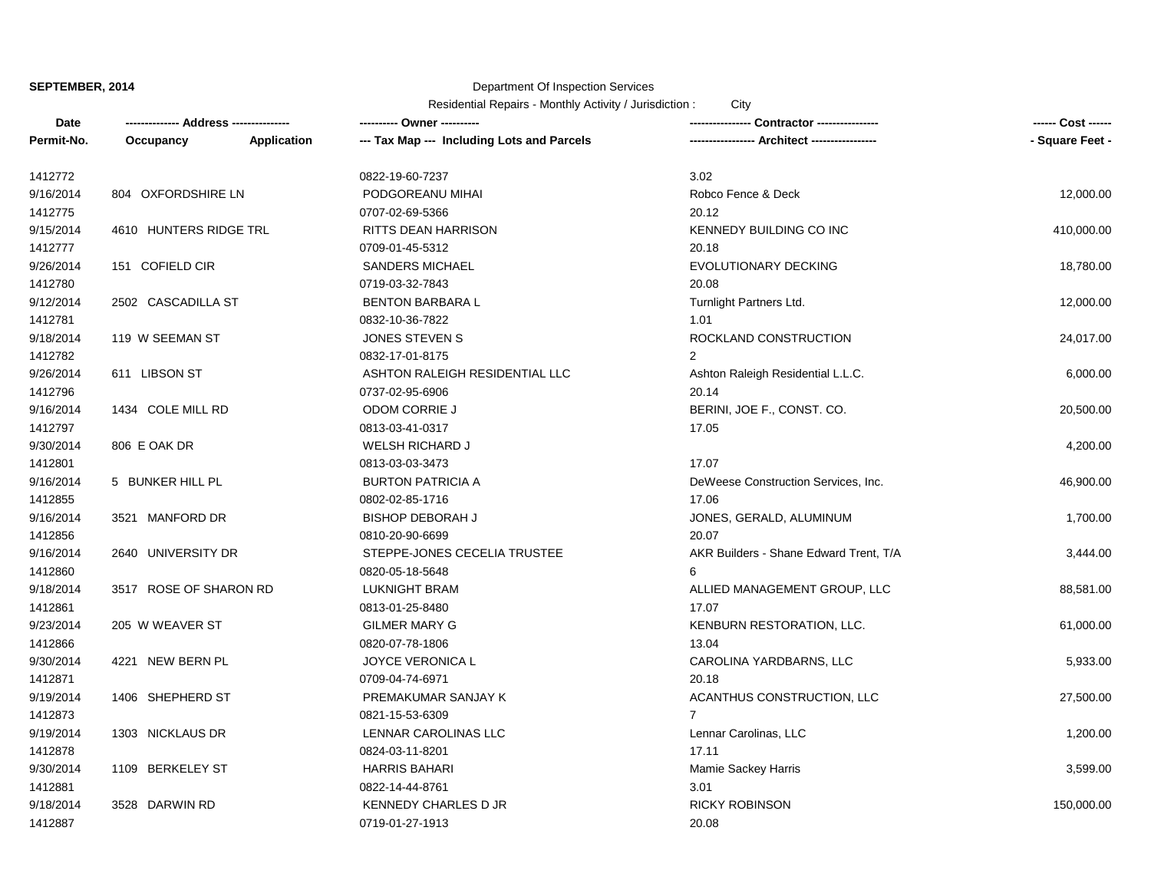### Department Of Inspection Services

| Date       | ------------- Address -------------- |             | ---------- Owner ----------                |                                             | ------ Cost ------ |
|------------|--------------------------------------|-------------|--------------------------------------------|---------------------------------------------|--------------------|
| Permit-No. | Occupancy                            | Application | --- Tax Map --- Including Lots and Parcels | ---------------- Architect ---------------- | - Square Feet -    |
| 1412772    |                                      |             | 0822-19-60-7237                            | 3.02                                        |                    |
| 9/16/2014  | 804 OXFORDSHIRE LN                   |             | PODGOREANU MIHAI                           | Robco Fence & Deck                          | 12,000.00          |
| 1412775    |                                      |             | 0707-02-69-5366                            | 20.12                                       |                    |
| 9/15/2014  | 4610 HUNTERS RIDGE TRL               |             | <b>RITTS DEAN HARRISON</b>                 | KENNEDY BUILDING CO INC                     | 410,000.00         |
| 1412777    |                                      |             | 0709-01-45-5312                            | 20.18                                       |                    |
| 9/26/2014  | 151 COFIELD CIR                      |             | <b>SANDERS MICHAEL</b>                     | EVOLUTIONARY DECKING                        | 18,780.00          |
| 1412780    |                                      |             | 0719-03-32-7843                            | 20.08                                       |                    |
| 9/12/2014  | 2502 CASCADILLA ST                   |             | <b>BENTON BARBARA L</b>                    | Turnlight Partners Ltd.                     | 12,000.00          |
| 1412781    |                                      |             | 0832-10-36-7822                            | 1.01                                        |                    |
| 9/18/2014  | 119 W SEEMAN ST                      |             | <b>JONES STEVEN S</b>                      | ROCKLAND CONSTRUCTION                       | 24,017.00          |
| 1412782    |                                      |             | 0832-17-01-8175                            | $\mathcal{P}$                               |                    |
| 9/26/2014  | 611 LIBSON ST                        |             | ASHTON RALEIGH RESIDENTIAL LLC             | Ashton Raleigh Residential L.L.C.           | 6,000.00           |
| 1412796    |                                      |             | 0737-02-95-6906                            | 20.14                                       |                    |
| 9/16/2014  | 1434 COLE MILL RD                    |             | ODOM CORRIE J                              | BERINI, JOE F., CONST. CO.                  | 20,500.00          |
| 1412797    |                                      |             | 0813-03-41-0317                            | 17.05                                       |                    |
| 9/30/2014  | 806 E OAK DR                         |             | <b>WELSH RICHARD J</b>                     |                                             | 4,200.00           |
| 1412801    |                                      |             | 0813-03-03-3473                            | 17.07                                       |                    |
| 9/16/2014  | 5 BUNKER HILL PL                     |             | <b>BURTON PATRICIA A</b>                   | DeWeese Construction Services, Inc.         | 46,900.00          |
| 1412855    |                                      |             | 0802-02-85-1716                            | 17.06                                       |                    |
| 9/16/2014  | 3521 MANFORD DR                      |             | <b>BISHOP DEBORAH J</b>                    | JONES, GERALD, ALUMINUM                     | 1,700.00           |
| 1412856    |                                      |             | 0810-20-90-6699                            | 20.07                                       |                    |
| 9/16/2014  | 2640 UNIVERSITY DR                   |             | STEPPE-JONES CECELIA TRUSTEE               | AKR Builders - Shane Edward Trent, T/A      | 3,444.00           |
| 1412860    |                                      |             | 0820-05-18-5648                            | 6                                           |                    |
| 9/18/2014  | 3517 ROSE OF SHARON RD               |             | <b>LUKNIGHT BRAM</b>                       | ALLIED MANAGEMENT GROUP, LLC                | 88,581.00          |
| 1412861    |                                      |             | 0813-01-25-8480                            | 17.07                                       |                    |
| 9/23/2014  | 205 W WEAVER ST                      |             | <b>GILMER MARY G</b>                       | KENBURN RESTORATION, LLC.                   | 61,000.00          |
| 1412866    |                                      |             | 0820-07-78-1806                            | 13.04                                       |                    |
| 9/30/2014  | 4221 NEW BERN PL                     |             | JOYCE VERONICA L                           | CAROLINA YARDBARNS, LLC                     | 5,933.00           |
| 1412871    |                                      |             | 0709-04-74-6971                            | 20.18                                       |                    |
| 9/19/2014  | 1406 SHEPHERD ST                     |             | PREMAKUMAR SANJAY K                        | ACANTHUS CONSTRUCTION, LLC                  | 27,500.00          |
| 1412873    |                                      |             | 0821-15-53-6309                            | $\overline{7}$                              |                    |
| 9/19/2014  | 1303 NICKLAUS DR                     |             | LENNAR CAROLINAS LLC                       | Lennar Carolinas, LLC                       | 1,200.00           |
| 1412878    |                                      |             | 0824-03-11-8201                            | 17.11                                       |                    |
| 9/30/2014  | 1109 BERKELEY ST                     |             | <b>HARRIS BAHARI</b>                       | Mamie Sackey Harris                         | 3,599.00           |
| 1412881    |                                      |             | 0822-14-44-8761                            | 3.01                                        |                    |
| 9/18/2014  | 3528 DARWIN RD                       |             | <b>KENNEDY CHARLES D JR</b>                | <b>RICKY ROBINSON</b>                       | 150,000.00         |
| 1412887    |                                      |             | 0719-01-27-1913                            | 20.08                                       |                    |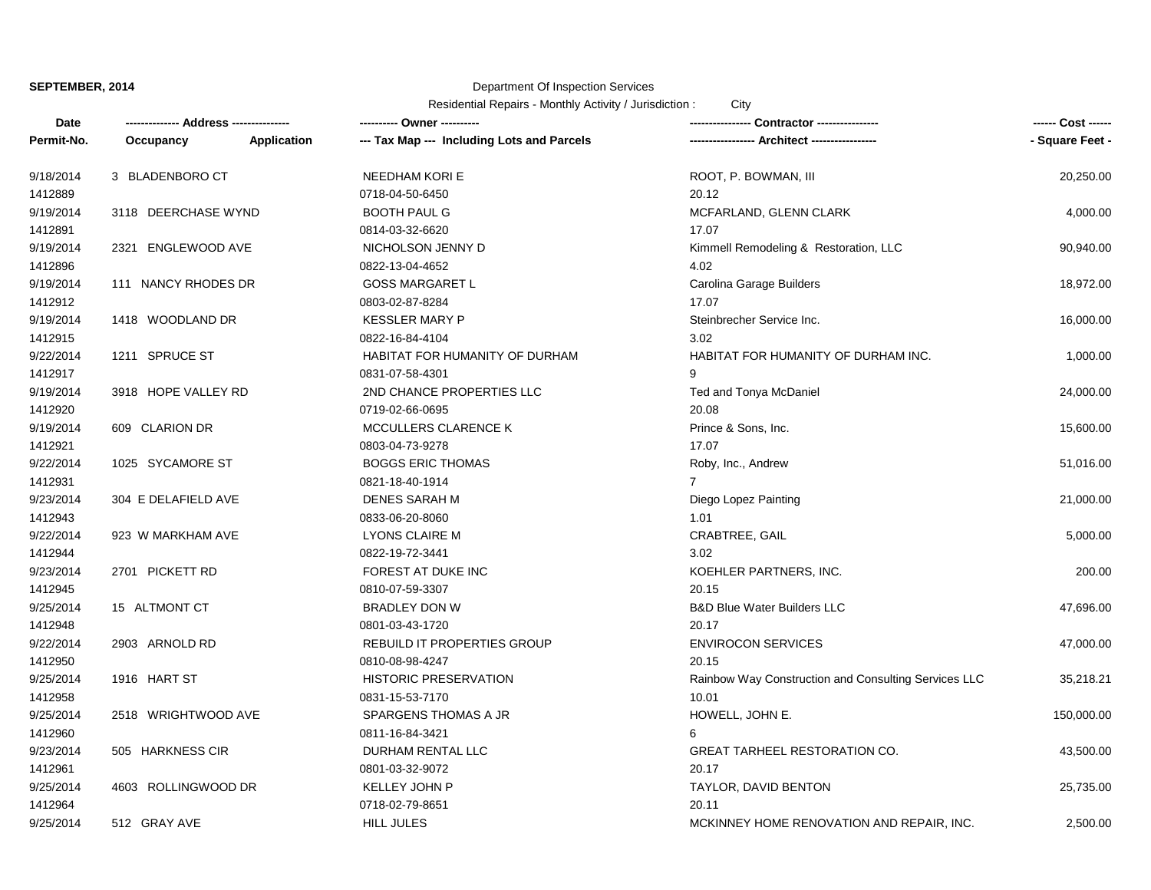# Department Of Inspection Services

| <b>Date</b> | -------------- Address --------------- |             | ---------- Owner ----------                |                                                      | ------ Cost ------ |
|-------------|----------------------------------------|-------------|--------------------------------------------|------------------------------------------------------|--------------------|
| Permit-No.  | Occupancy                              | Application | --- Tax Map --- Including Lots and Parcels | ---------------- Architect -----------------         | - Square Feet -    |
| 9/18/2014   | 3 BLADENBORO CT                        |             | <b>NEEDHAM KORI E</b>                      | ROOT, P. BOWMAN, III                                 | 20,250.00          |
| 1412889     |                                        |             | 0718-04-50-6450                            | 20.12                                                |                    |
| 9/19/2014   | 3118 DEERCHASE WYND                    |             | <b>BOOTH PAUL G</b>                        | MCFARLAND, GLENN CLARK                               | 4,000.00           |
| 1412891     |                                        |             | 0814-03-32-6620                            | 17.07                                                |                    |
| 9/19/2014   | 2321 ENGLEWOOD AVE                     |             | NICHOLSON JENNY D                          | Kimmell Remodeling & Restoration, LLC                | 90,940.00          |
| 1412896     |                                        |             | 0822-13-04-4652                            | 4.02                                                 |                    |
| 9/19/2014   | 111 NANCY RHODES DR                    |             | <b>GOSS MARGARET L</b>                     | Carolina Garage Builders                             | 18,972.00          |
| 1412912     |                                        |             | 0803-02-87-8284                            | 17.07                                                |                    |
| 9/19/2014   | 1418 WOODLAND DR                       |             | <b>KESSLER MARY P</b>                      | Steinbrecher Service Inc.                            | 16,000.00          |
| 1412915     |                                        |             | 0822-16-84-4104                            | 3.02                                                 |                    |
| 9/22/2014   | 1211 SPRUCE ST                         |             | HABITAT FOR HUMANITY OF DURHAM             | HABITAT FOR HUMANITY OF DURHAM INC.                  | 1,000.00           |
| 1412917     |                                        |             | 0831-07-58-4301                            | 9                                                    |                    |
| 9/19/2014   | 3918 HOPE VALLEY RD                    |             | 2ND CHANCE PROPERTIES LLC                  | Ted and Tonya McDaniel                               | 24,000.00          |
| 1412920     |                                        |             | 0719-02-66-0695                            | 20.08                                                |                    |
| 9/19/2014   | 609 CLARION DR                         |             | MCCULLERS CLARENCE K                       | Prince & Sons, Inc.                                  | 15,600.00          |
| 1412921     |                                        |             | 0803-04-73-9278                            | 17.07                                                |                    |
| 9/22/2014   | 1025 SYCAMORE ST                       |             | <b>BOGGS ERIC THOMAS</b>                   | Roby, Inc., Andrew                                   | 51,016.00          |
| 1412931     |                                        |             | 0821-18-40-1914                            | $7^{\circ}$                                          |                    |
| 9/23/2014   | 304 E DELAFIELD AVE                    |             | <b>DENES SARAH M</b>                       | Diego Lopez Painting                                 | 21,000.00          |
| 1412943     |                                        |             | 0833-06-20-8060                            | 1.01                                                 |                    |
| 9/22/2014   | 923 W MARKHAM AVE                      |             | <b>LYONS CLAIRE M</b>                      | CRABTREE, GAIL                                       | 5,000.00           |
| 1412944     |                                        |             | 0822-19-72-3441                            | 3.02                                                 |                    |
| 9/23/2014   | 2701 PICKETT RD                        |             | FOREST AT DUKE INC                         | KOEHLER PARTNERS, INC.                               | 200.00             |
| 1412945     |                                        |             | 0810-07-59-3307                            | 20.15                                                |                    |
| 9/25/2014   | 15 ALTMONT CT                          |             | <b>BRADLEY DON W</b>                       | <b>B&amp;D Blue Water Builders LLC</b>               | 47,696.00          |
| 1412948     |                                        |             | 0801-03-43-1720                            | 20.17                                                |                    |
| 9/22/2014   | 2903 ARNOLD RD                         |             | REBUILD IT PROPERTIES GROUP                | <b>ENVIROCON SERVICES</b>                            | 47,000.00          |
| 1412950     |                                        |             | 0810-08-98-4247                            | 20.15                                                |                    |
| 9/25/2014   | 1916 HART ST                           |             | <b>HISTORIC PRESERVATION</b>               | Rainbow Way Construction and Consulting Services LLC | 35,218.21          |
| 1412958     |                                        |             | 0831-15-53-7170                            | 10.01                                                |                    |
| 9/25/2014   | 2518 WRIGHTWOOD AVE                    |             | SPARGENS THOMAS A JR                       | HOWELL, JOHN E.                                      | 150,000.00         |
| 1412960     |                                        |             | 0811-16-84-3421                            | 6                                                    |                    |
| 9/23/2014   | 505 HARKNESS CIR                       |             | DURHAM RENTAL LLC                          | <b>GREAT TARHEEL RESTORATION CO.</b>                 | 43,500.00          |
| 1412961     |                                        |             | 0801-03-32-9072                            | 20.17                                                |                    |
| 9/25/2014   | 4603 ROLLINGWOOD DR                    |             | KELLEY JOHN P                              | TAYLOR, DAVID BENTON                                 | 25,735.00          |
| 1412964     |                                        |             | 0718-02-79-8651                            | 20.11                                                |                    |
| 9/25/2014   | 512 GRAY AVE                           |             | <b>HILL JULES</b>                          | MCKINNEY HOME RENOVATION AND REPAIR, INC.            | 2,500.00           |